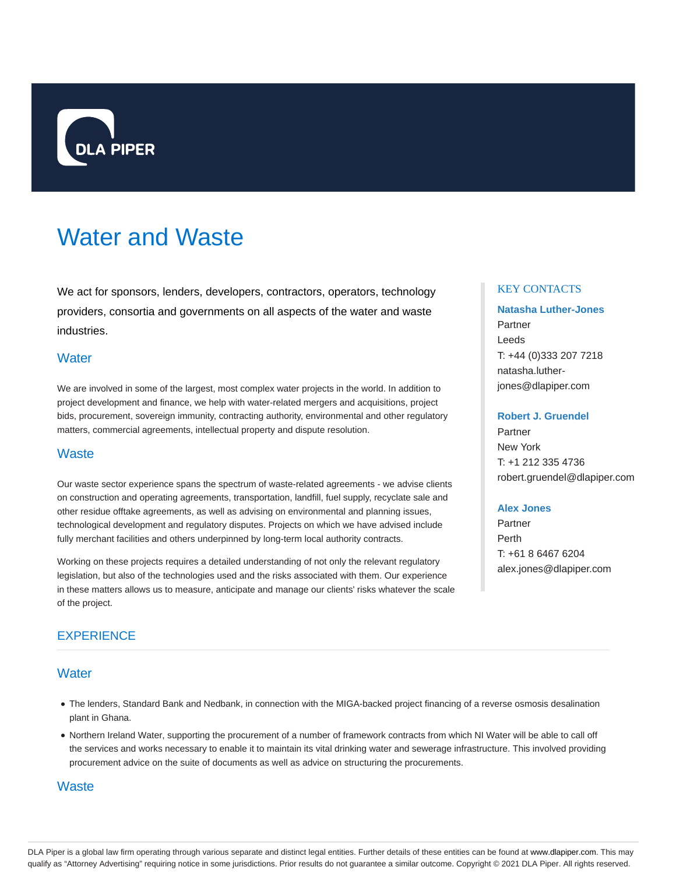

# Water and Waste

We act for sponsors, lenders, developers, contractors, operators, technology providers, consortia and governments on all aspects of the water and waste industries.

# **Water**

We are involved in some of the largest, most complex water projects in the world. In addition to project development and finance, we help with water-related mergers and acquisitions, project bids, procurement, sovereign immunity, contracting authority, environmental and other regulatory matters, commercial agreements, intellectual property and dispute resolution.

## **Waste**

Our waste sector experience spans the spectrum of waste-related agreements - we advise clients on construction and operating agreements, transportation, landfill, fuel supply, recyclate sale and other residue offtake agreements, as well as advising on environmental and planning issues, technological development and regulatory disputes. Projects on which we have advised include fully merchant facilities and others underpinned by long-term local authority contracts.

Working on these projects requires a detailed understanding of not only the relevant regulatory legislation, but also of the technologies used and the risks associated with them. Our experience in these matters allows us to measure, anticipate and manage our clients' risks whatever the scale of the project.

# **EXPERIENCE**

# **Water**

- The lenders, Standard Bank and Nedbank, in connection with the MIGA-backed project financing of a reverse osmosis desalination plant in Ghana.
- Northern Ireland Water, supporting the procurement of a number of framework contracts from which NI Water will be able to call off the services and works necessary to enable it to maintain its vital drinking water and sewerage infrastructure. This involved providing procurement advice on the suite of documents as well as advice on structuring the procurements.

## **Waste**

## KEY CONTACTS

# **Natasha Luther-Jones** Partner Leeds T: +44 (0)333 207 7218 natasha.lutherjones@dlapiper.com

#### **Robert J. Gruendel**

Partner New York T: +1 212 335 4736 robert.gruendel@dlapiper.com

### **Alex Jones**

Partner Perth T: +61 8 6467 6204 alex.jones@dlapiper.com

DLA Piper is a global law firm operating through various separate and distinct legal entities. Further details of these entities can be found at www.dlapiper.com. This may qualify as "Attorney Advertising" requiring notice in some jurisdictions. Prior results do not guarantee a similar outcome. Copyright @ 2021 DLA Piper. All rights reserved.